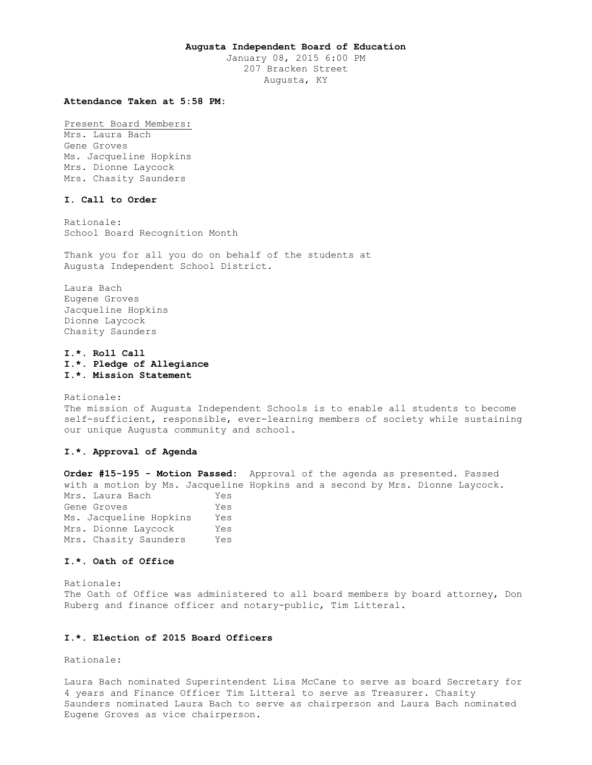### **Augusta Independent Board of Education**

January 08, 2015 6:00 PM 207 Bracken Street Augusta, KY

### **Attendance Taken at 5:58 PM:**

Present Board Members: Mrs. Laura Bach Gene Groves Ms. Jacqueline Hopkins Mrs. Dionne Laycock Mrs. Chasity Saunders

### **I. Call to Order**

Rationale: School Board Recognition Month

Thank you for all you do on behalf of the students at Augusta Independent School District.

Laura Bach Eugene Groves Jacqueline Hopkins Dionne Laycock Chasity Saunders

# **I.\*. Roll Call I.\*. Pledge of Allegiance I.\*. Mission Statement**

Rationale: The mission of Augusta Independent Schools is to enable all students to become self-sufficient, responsible, ever-learning members of society while sustaining our unique Augusta community and school.

# **I.\*. Approval of Agenda**

**Order #15-195 - Motion Passed:** Approval of the agenda as presented. Passed with a motion by Ms. Jacqueline Hopkins and a second by Mrs. Dionne Laycock. Mrs. Laura Bach Yes Gene Groves Tes Ms. Jacqueline Hopkins Yes Mrs. Dionne Laycock Yes Mrs. Chasity Saunders Yes

#### **I.\*. Oath of Office**

Rationale: The Oath of Office was administered to all board members by board attorney, Don Ruberg and finance officer and notary-public, Tim Litteral.

### **I.\*. Election of 2015 Board Officers**

Rationale:

Laura Bach nominated Superintendent Lisa McCane to serve as board Secretary for 4 years and Finance Officer Tim Litteral to serve as Treasurer. Chasity Saunders nominated Laura Bach to serve as chairperson and Laura Bach nominated Eugene Groves as vice chairperson.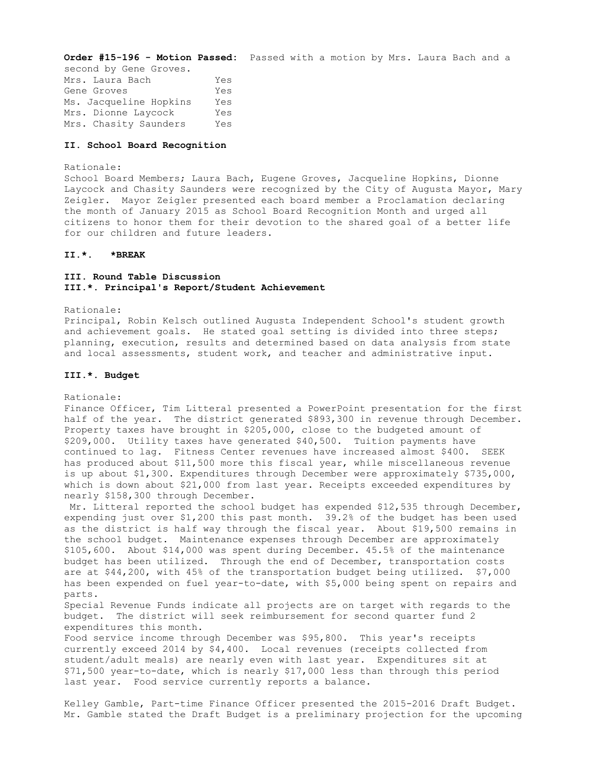**Order #15-196 - Motion Passed:** Passed with a motion by Mrs. Laura Bach and a second by Gene Groves. Mrs. Laura Bach Yes Gene Groves Tes Ms. Jacqueline Hopkins Yes Mrs. Dionne Laycock Yes Mrs. Chasity Saunders Yes

## **II. School Board Recognition**

## Rationale:

School Board Members; Laura Bach, Eugene Groves, Jacqueline Hopkins, Dionne Laycock and Chasity Saunders were recognized by the City of Augusta Mayor, Mary Zeigler. Mayor Zeigler presented each board member a Proclamation declaring the month of January 2015 as School Board Recognition Month and urged all citizens to honor them for their devotion to the shared goal of a better life for our children and future leaders.

## **II.\*. \*BREAK**

# **III. Round Table Discussion III.\*. Principal's Report/Student Achievement**

Rationale:

Principal, Robin Kelsch outlined Augusta Independent School's student growth and achievement goals. He stated goal setting is divided into three steps; planning, execution, results and determined based on data analysis from state and local assessments, student work, and teacher and administrative input.

### **III.\*. Budget**

Rationale:

Finance Officer, Tim Litteral presented a PowerPoint presentation for the first half of the year. The district generated \$893,300 in revenue through December. Property taxes have brought in \$205,000, close to the budgeted amount of \$209,000. Utility taxes have generated \$40,500. Tuition payments have continued to lag. Fitness Center revenues have increased almost \$400. SEEK has produced about \$11,500 more this fiscal year, while miscellaneous revenue is up about \$1,300. Expenditures through December were approximately \$735,000, which is down about \$21,000 from last year. Receipts exceeded expenditures by nearly \$158,300 through December.

Mr. Litteral reported the school budget has expended \$12,535 through December, expending just over \$1,200 this past month. 39.2% of the budget has been used as the district is half way through the fiscal year. About \$19,500 remains in the school budget. Maintenance expenses through December are approximately \$105,600. About \$14,000 was spent during December. 45.5% of the maintenance budget has been utilized. Through the end of December, transportation costs are at \$44,200, with 45% of the transportation budget being utilized. \$7,000 has been expended on fuel year-to-date, with \$5,000 being spent on repairs and parts.

Special Revenue Funds indicate all projects are on target with regards to the budget. The district will seek reimbursement for second quarter fund 2 expenditures this month.

Food service income through December was \$95,800. This year's receipts currently exceed 2014 by \$4,400. Local revenues (receipts collected from student/adult meals) are nearly even with last year. Expenditures sit at \$71,500 year-to-date, which is nearly \$17,000 less than through this period last year. Food service currently reports a balance.

Kelley Gamble, Part-time Finance Officer presented the 2015-2016 Draft Budget. Mr. Gamble stated the Draft Budget is a preliminary projection for the upcoming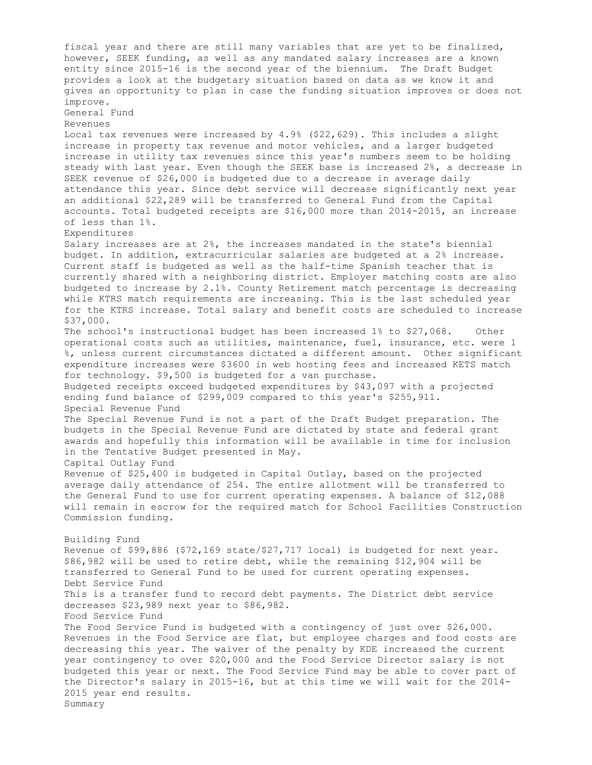fiscal year and there are still many variables that are yet to be finalized, however, SEEK funding, as well as any mandated salary increases are a known entity since 2015-16 is the second year of the biennium. The Draft Budget provides a look at the budgetary situation based on data as we know it and gives an opportunity to plan in case the funding situation improves or does not improve. General Fund Revenues Local tax revenues were increased by 4.9% (\$22,629). This includes a slight increase in property tax revenue and motor vehicles, and a larger budgeted increase in utility tax revenues since this year's numbers seem to be holding steady with last year. Even though the SEEK base is increased 2%, a decrease in SEEK revenue of \$26,000 is budgeted due to a decrease in average daily attendance this year. Since debt service will decrease significantly next year an additional \$22,289 will be transferred to General Fund from the Capital accounts. Total budgeted receipts are \$16,000 more than 2014-2015, an increase of less than 1%. Expenditures Salary increases are at 2%, the increases mandated in the state's biennial budget. In addition, extracurricular salaries are budgeted at a 2% increase. Current staff is budgeted as well as the half-time Spanish teacher that is currently shared with a neighboring district. Employer matching costs are also budgeted to increase by 2.1%. County Retirement match percentage is decreasing while KTRS match requirements are increasing. This is the last scheduled year for the KTRS increase. Total salary and benefit costs are scheduled to increase \$37,000. The school's instructional budget has been increased 1% to \$27,068. Other operational costs such as utilities, maintenance, fuel, insurance, etc. were 1 %, unless current circumstances dictated a different amount. Other significant expenditure increases were \$3600 in web hosting fees and increased KETS match for technology. \$9,500 is budgeted for a van purchase. Budgeted receipts exceed budgeted expenditures by \$43,097 with a projected ending fund balance of \$299,009 compared to this year's \$255,911. Special Revenue Fund The Special Revenue Fund is not a part of the Draft Budget preparation. The budgets in the Special Revenue Fund are dictated by state and federal grant awards and hopefully this information will be available in time for inclusion in the Tentative Budget presented in May. Capital Outlay Fund Revenue of \$25,400 is budgeted in Capital Outlay, based on the projected average daily attendance of 254. The entire allotment will be transferred to the General Fund to use for current operating expenses. A balance of \$12,088 will remain in escrow for the required match for School Facilities Construction Commission funding. Building Fund Revenue of  $$99,886$  ( $$72,169$  state/ $$27,717$  local) is budgeted for next year. \$86,982 will be used to retire debt, while the remaining \$12,904 will be transferred to General Fund to be used for current operating expenses. Debt Service Fund This is a transfer fund to record debt payments. The District debt service decreases \$23,989 next year to \$86,982. Food Service Fund The Food Service Fund is budgeted with a contingency of just over \$26,000. Revenues in the Food Service are flat, but employee charges and food costs are decreasing this year. The waiver of the penalty by KDE increased the current year contingency to over \$20,000 and the Food Service Director salary is not budgeted this year or next. The Food Service Fund may be able to cover part of the Director's salary in 2015-16, but at this time we will wait for the 2014- 2015 year end results. Summary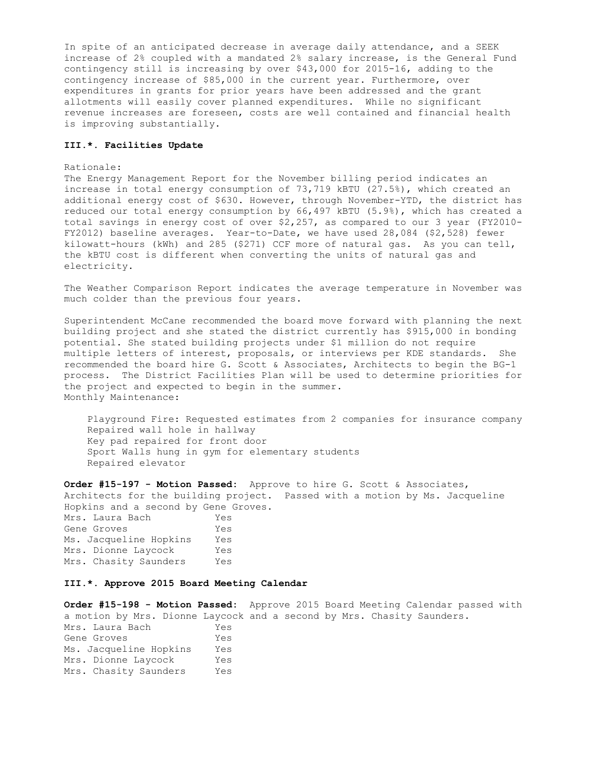In spite of an anticipated decrease in average daily attendance, and a SEEK increase of 2% coupled with a mandated 2% salary increase, is the General Fund contingency still is increasing by over \$43,000 for 2015-16, adding to the contingency increase of \$85,000 in the current year. Furthermore, over expenditures in grants for prior years have been addressed and the grant allotments will easily cover planned expenditures. While no significant revenue increases are foreseen, costs are well contained and financial health is improving substantially.

#### **III.\*. Facilities Update**

#### Rationale:

The Energy Management Report for the November billing period indicates an increase in total energy consumption of 73,719 kBTU (27.5%), which created an additional energy cost of \$630. However, through November-YTD, the district has reduced our total energy consumption by 66,497 kBTU (5.9%), which has created a total savings in energy cost of over \$2,257, as compared to our 3 year (FY2010- FY2012) baseline averages. Year-to-Date, we have used 28,084 (\$2,528) fewer kilowatt-hours (kWh) and 285 (\$271) CCF more of natural gas. As you can tell, the kBTU cost is different when converting the units of natural gas and electricity.

The Weather Comparison Report indicates the average temperature in November was much colder than the previous four years.

Superintendent McCane recommended the board move forward with planning the next building project and she stated the district currently has \$915,000 in bonding potential. She stated building projects under \$1 million do not require multiple letters of interest, proposals, or interviews per KDE standards. She recommended the board hire G. Scott & Associates, Architects to begin the BG-1 process. The District Facilities Plan will be used to determine priorities for the project and expected to begin in the summer. Monthly Maintenance:

 Playground Fire: Requested estimates from 2 companies for insurance company Repaired wall hole in hallway Key pad repaired for front door Sport Walls hung in gym for elementary students Repaired elevator

**Order #15-197 - Motion Passed:** Approve to hire G. Scott & Associates, Architects for the building project. Passed with a motion by Ms. Jacqueline Hopkins and a second by Gene Groves. Mrs. Laura Bach Yes Gene Groves Tes Ms. Jacqueline Hopkins Yes Mrs. Dionne Laycock Yes Mrs. Chasity Saunders Yes

### **III.\*. Approve 2015 Board Meeting Calendar**

**Order #15-198 - Motion Passed:** Approve 2015 Board Meeting Calendar passed with a motion by Mrs. Dionne Laycock and a second by Mrs. Chasity Saunders. Mrs. Laura Bach Yes Gene Groves Tes Ms. Jacqueline Hopkins Yes Mrs. Dionne Laycock Yes Mrs. Chasity Saunders Yes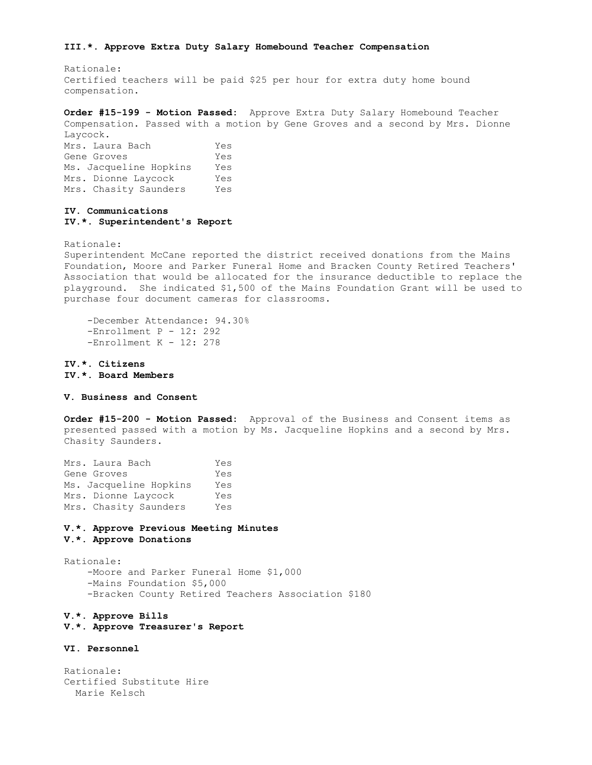#### **III.\*. Approve Extra Duty Salary Homebound Teacher Compensation**

Rationale: Certified teachers will be paid \$25 per hour for extra duty home bound compensation.

**Order #15-199 - Motion Passed:** Approve Extra Duty Salary Homebound Teacher Compensation. Passed with a motion by Gene Groves and a second by Mrs. Dionne Laycock.

Mrs. Laura Bach Yes Gene Groves Tes Ms. Jacqueline Hopkins Yes Mrs. Dionne Laycock Yes Mrs. Chasity Saunders Yes

## **IV. Communications IV.\*. Superintendent's Report**

Rationale:

Superintendent McCane reported the district received donations from the Mains Foundation, Moore and Parker Funeral Home and Bracken County Retired Teachers' Association that would be allocated for the insurance deductible to replace the playground. She indicated \$1,500 of the Mains Foundation Grant will be used to purchase four document cameras for classrooms.

 -December Attendance: 94.30% -Enrollment P - 12: 292 -Enrollment K - 12: 278

**IV.\*. Citizens IV.\*. Board Members** 

### **V. Business and Consent**

**Order #15-200 - Motion Passed:** Approval of the Business and Consent items as presented passed with a motion by Ms. Jacqueline Hopkins and a second by Mrs. Chasity Saunders.

| Mrs. Laura Bach        | Yes |
|------------------------|-----|
| Gene Groves            | Yes |
| Ms. Jacqueline Hopkins | Yes |
| Mrs. Dionne Laycock    | Yes |
| Mrs. Chasity Saunders  | Yes |

# **V.\*. Approve Previous Meeting Minutes**

**V.\*. Approve Donations** 

Rationale: -Moore and Parker Funeral Home \$1,000 -Mains Foundation \$5,000 -Bracken County Retired Teachers Association \$180

### **V.\*. Approve Bills**

**V.\*. Approve Treasurer's Report** 

# **VI. Personnel**

Rationale: Certified Substitute Hire Marie Kelsch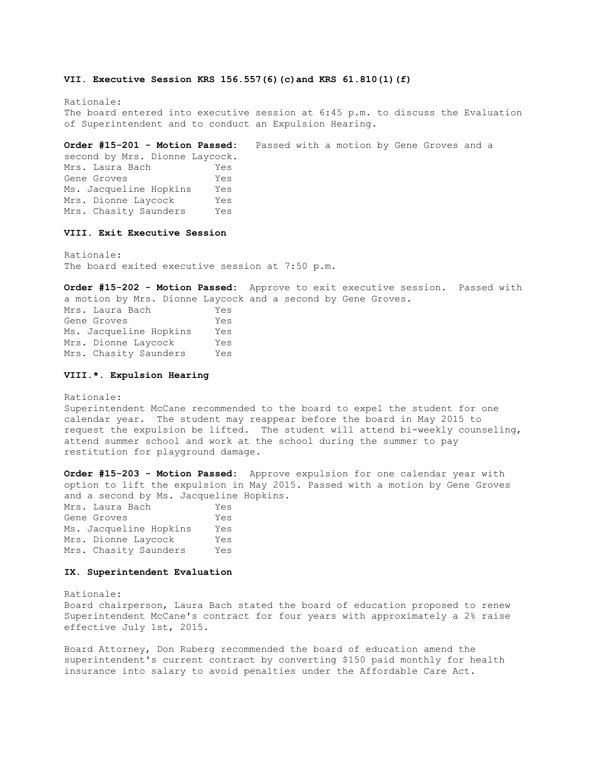#### **VII. Executive Session KRS 156.557(6)(c)and KRS 61.810(1)(f)**

Rationale: The board entered into executive session at 6:45 p.m. to discuss the Evaluation of Superintendent and to conduct an Expulsion Hearing.

**Order #15-201 - Motion Passed:** Passed with a motion by Gene Groves and a second by Mrs. Dionne Laycock. Mrs. Laura Bach Yes Gene Groves Yes Ms. Jacqueline Hopkins Yes Mrs. Dionne Laycock Yes Mrs. Chasity Saunders Yes

# **VIII. Exit Executive Session**

Rationale: The board exited executive session at 7:50 p.m.

**Order #15-202 - Motion Passed:** Approve to exit executive session. Passed with a motion by Mrs. Dionne Laycock and a second by Gene Groves. Mrs. Laura Bach Yes Gene Groves Tes Ms. Jacqueline Hopkins Yes Mrs. Dionne Laycock Yes Mrs. Chasity Saunders Yes

#### **VIII.\*. Expulsion Hearing**

Rationale: Superintendent McCane recommended to the board to expel the student for one calendar year. The student may reappear before the board in May 2015 to request the expulsion be lifted. The student will attend bi-weekly counseling, attend summer school and work at the school during the summer to pay restitution for playground damage.

**Order #15-203 - Motion Passed:** Approve expulsion for one calendar year with option to lift the expulsion in May 2015. Passed with a motion by Gene Groves and a second by Ms. Jacqueline Hopkins. Mrs. Laura Bach Yes Gene Groves Yes Ms. Jacqueline Hopkins Yes Mrs. Dionne Laycock Yes Mrs. Chasity Saunders Yes

## **IX. Superintendent Evaluation**

Rationale:

Board chairperson, Laura Bach stated the board of education proposed to renew Superintendent McCane's contract for four years with approximately a 2% raise effective July 1st, 2015.

Board Attorney, Don Ruberg recommended the board of education amend the superintendent's current contract by converting \$150 paid monthly for health insurance into salary to avoid penalties under the Affordable Care Act.